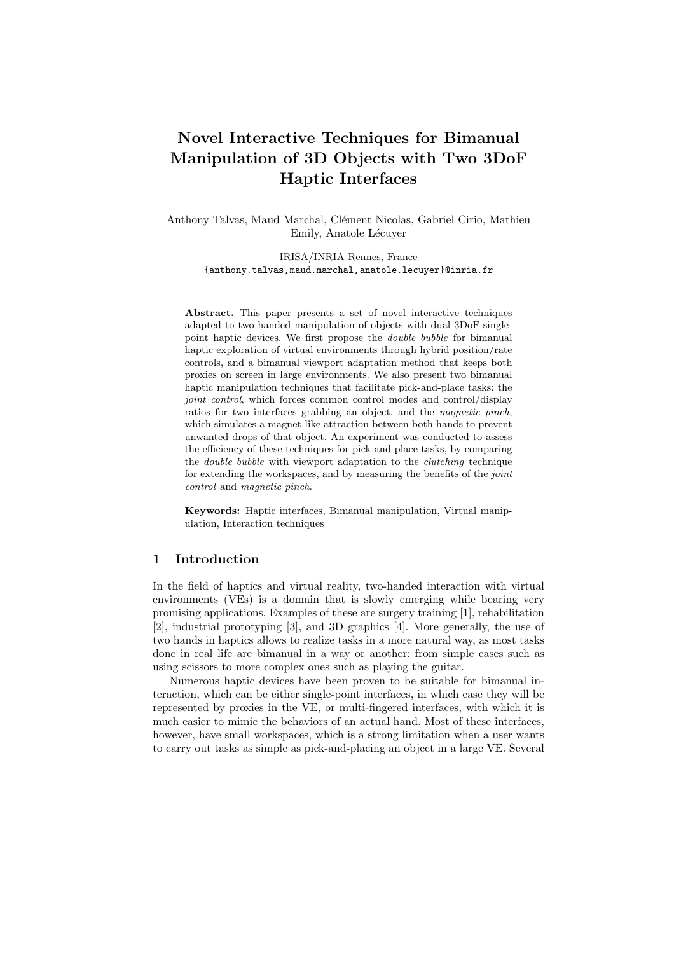# Novel Interactive Techniques for Bimanual Manipulation of 3D Objects with Two 3DoF Haptic Interfaces

Anthony Talvas, Maud Marchal, Clément Nicolas, Gabriel Cirio, Mathieu Emily, Anatole Lécuyer

> IRISA/INRIA Rennes, France {anthony.talvas,maud.marchal,anatole.lecuyer}@inria.fr

Abstract. This paper presents a set of novel interactive techniques adapted to two-handed manipulation of objects with dual 3DoF singlepoint haptic devices. We first propose the double bubble for bimanual haptic exploration of virtual environments through hybrid position/rate controls, and a bimanual viewport adaptation method that keeps both proxies on screen in large environments. We also present two bimanual haptic manipulation techniques that facilitate pick-and-place tasks: the joint control, which forces common control modes and control/display ratios for two interfaces grabbing an object, and the magnetic pinch, which simulates a magnet-like attraction between both hands to prevent unwanted drops of that object. An experiment was conducted to assess the efficiency of these techniques for pick-and-place tasks, by comparing the double bubble with viewport adaptation to the clutching technique for extending the workspaces, and by measuring the benefits of the joint control and magnetic pinch.

Keywords: Haptic interfaces, Bimanual manipulation, Virtual manipulation, Interaction techniques

## 1 Introduction

In the field of haptics and virtual reality, two-handed interaction with virtual environments (VEs) is a domain that is slowly emerging while bearing very promising applications. Examples of these are surgery training [1], rehabilitation [2], industrial prototyping [3], and 3D graphics [4]. More generally, the use of two hands in haptics allows to realize tasks in a more natural way, as most tasks done in real life are bimanual in a way or another: from simple cases such as using scissors to more complex ones such as playing the guitar.

Numerous haptic devices have been proven to be suitable for bimanual interaction, which can be either single-point interfaces, in which case they will be represented by proxies in the VE, or multi-fingered interfaces, with which it is much easier to mimic the behaviors of an actual hand. Most of these interfaces, however, have small workspaces, which is a strong limitation when a user wants to carry out tasks as simple as pick-and-placing an object in a large VE. Several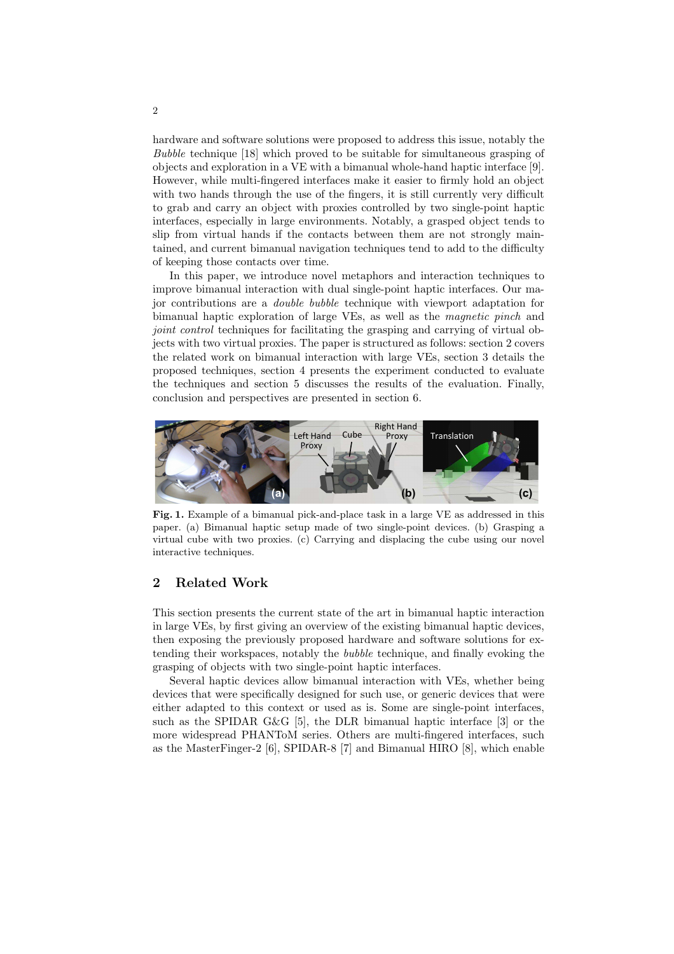hardware and software solutions were proposed to address this issue, notably the Bubble technique [18] which proved to be suitable for simultaneous grasping of objects and exploration in a VE with a bimanual whole-hand haptic interface [9]. However, while multi-fingered interfaces make it easier to firmly hold an object with two hands through the use of the fingers, it is still currently very difficult to grab and carry an object with proxies controlled by two single-point haptic interfaces, especially in large environments. Notably, a grasped object tends to slip from virtual hands if the contacts between them are not strongly maintained, and current bimanual navigation techniques tend to add to the difficulty of keeping those contacts over time.

In this paper, we introduce novel metaphors and interaction techniques to improve bimanual interaction with dual single-point haptic interfaces. Our major contributions are a double bubble technique with viewport adaptation for bimanual haptic exploration of large VEs, as well as the magnetic pinch and joint control techniques for facilitating the grasping and carrying of virtual objects with two virtual proxies. The paper is structured as follows: section 2 covers the related work on bimanual interaction with large VEs, section 3 details the proposed techniques, section 4 presents the experiment conducted to evaluate the techniques and section 5 discusses the results of the evaluation. Finally, conclusion and perspectives are presented in section 6.



Fig. 1. Example of a bimanual pick-and-place task in a large VE as addressed in this paper. (a) Bimanual haptic setup made of two single-point devices. (b) Grasping a virtual cube with two proxies. (c) Carrying and displacing the cube using our novel interactive techniques.

## 2 Related Work

This section presents the current state of the art in bimanual haptic interaction in large VEs, by first giving an overview of the existing bimanual haptic devices, then exposing the previously proposed hardware and software solutions for extending their workspaces, notably the bubble technique, and finally evoking the grasping of objects with two single-point haptic interfaces.

Several haptic devices allow bimanual interaction with VEs, whether being devices that were specifically designed for such use, or generic devices that were either adapted to this context or used as is. Some are single-point interfaces, such as the SPIDAR G&G [5], the DLR bimanual haptic interface [3] or the more widespread PHANToM series. Others are multi-fingered interfaces, such as the MasterFinger-2 [6], SPIDAR-8 [7] and Bimanual HIRO [8], which enable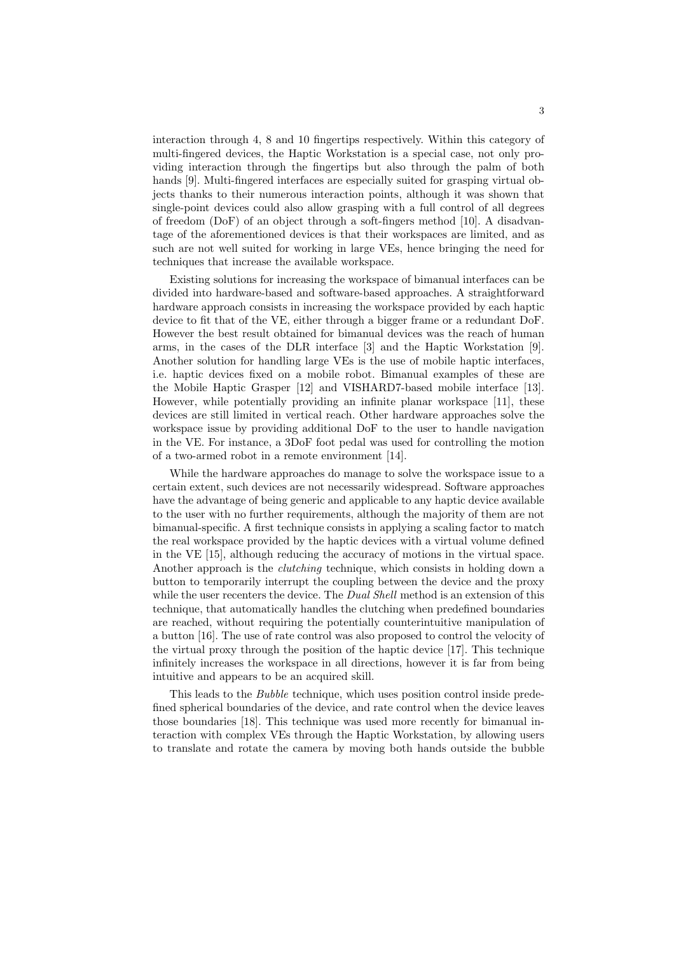interaction through 4, 8 and 10 fingertips respectively. Within this category of multi-fingered devices, the Haptic Workstation is a special case, not only providing interaction through the fingertips but also through the palm of both hands [9]. Multi-fingered interfaces are especially suited for grasping virtual objects thanks to their numerous interaction points, although it was shown that single-point devices could also allow grasping with a full control of all degrees of freedom (DoF) of an object through a soft-fingers method [10]. A disadvantage of the aforementioned devices is that their workspaces are limited, and as such are not well suited for working in large VEs, hence bringing the need for techniques that increase the available workspace.

Existing solutions for increasing the workspace of bimanual interfaces can be divided into hardware-based and software-based approaches. A straightforward hardware approach consists in increasing the workspace provided by each haptic device to fit that of the VE, either through a bigger frame or a redundant DoF. However the best result obtained for bimanual devices was the reach of human arms, in the cases of the DLR interface [3] and the Haptic Workstation [9]. Another solution for handling large VEs is the use of mobile haptic interfaces, i.e. haptic devices fixed on a mobile robot. Bimanual examples of these are the Mobile Haptic Grasper [12] and VISHARD7-based mobile interface [13]. However, while potentially providing an infinite planar workspace [11], these devices are still limited in vertical reach. Other hardware approaches solve the workspace issue by providing additional DoF to the user to handle navigation in the VE. For instance, a 3DoF foot pedal was used for controlling the motion of a two-armed robot in a remote environment [14].

While the hardware approaches do manage to solve the workspace issue to a certain extent, such devices are not necessarily widespread. Software approaches have the advantage of being generic and applicable to any haptic device available to the user with no further requirements, although the majority of them are not bimanual-specific. A first technique consists in applying a scaling factor to match the real workspace provided by the haptic devices with a virtual volume defined in the VE [15], although reducing the accuracy of motions in the virtual space. Another approach is the *clutching* technique, which consists in holding down a button to temporarily interrupt the coupling between the device and the proxy while the user recenters the device. The *Dual Shell* method is an extension of this technique, that automatically handles the clutching when predefined boundaries are reached, without requiring the potentially counterintuitive manipulation of a button [16]. The use of rate control was also proposed to control the velocity of the virtual proxy through the position of the haptic device [17]. This technique infinitely increases the workspace in all directions, however it is far from being intuitive and appears to be an acquired skill.

This leads to the Bubble technique, which uses position control inside predefined spherical boundaries of the device, and rate control when the device leaves those boundaries [18]. This technique was used more recently for bimanual interaction with complex VEs through the Haptic Workstation, by allowing users to translate and rotate the camera by moving both hands outside the bubble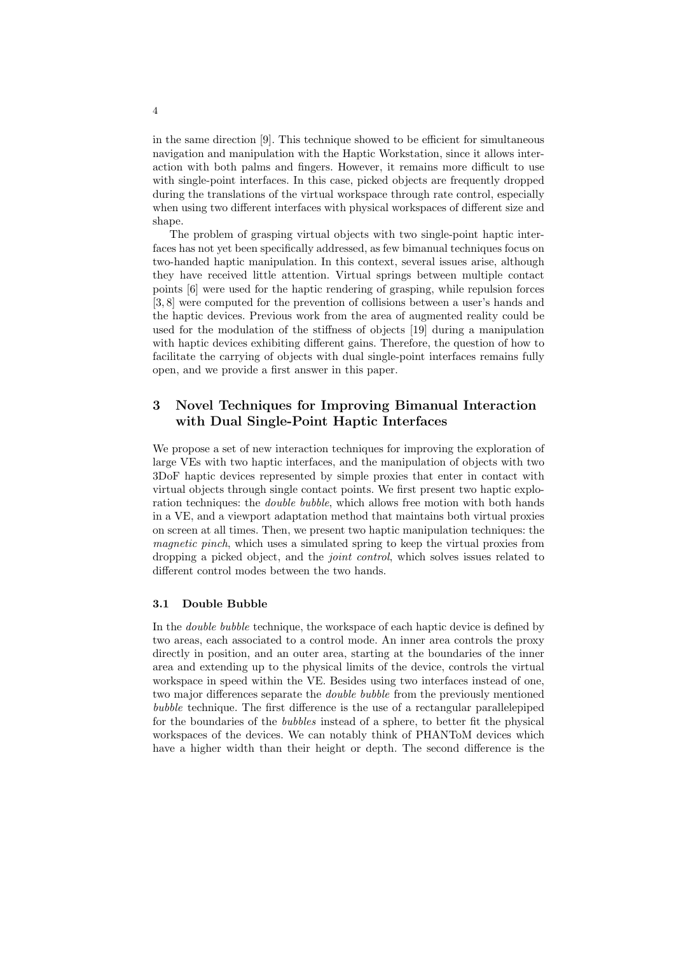in the same direction [9]. This technique showed to be efficient for simultaneous navigation and manipulation with the Haptic Workstation, since it allows interaction with both palms and fingers. However, it remains more difficult to use with single-point interfaces. In this case, picked objects are frequently dropped during the translations of the virtual workspace through rate control, especially when using two different interfaces with physical workspaces of different size and shape.

The problem of grasping virtual objects with two single-point haptic interfaces has not yet been specifically addressed, as few bimanual techniques focus on two-handed haptic manipulation. In this context, several issues arise, although they have received little attention. Virtual springs between multiple contact points [6] were used for the haptic rendering of grasping, while repulsion forces [3, 8] were computed for the prevention of collisions between a user's hands and the haptic devices. Previous work from the area of augmented reality could be used for the modulation of the stiffness of objects [19] during a manipulation with haptic devices exhibiting different gains. Therefore, the question of how to facilitate the carrying of objects with dual single-point interfaces remains fully open, and we provide a first answer in this paper.

## 3 Novel Techniques for Improving Bimanual Interaction with Dual Single-Point Haptic Interfaces

We propose a set of new interaction techniques for improving the exploration of large VEs with two haptic interfaces, and the manipulation of objects with two 3DoF haptic devices represented by simple proxies that enter in contact with virtual objects through single contact points. We first present two haptic exploration techniques: the double bubble, which allows free motion with both hands in a VE, and a viewport adaptation method that maintains both virtual proxies on screen at all times. Then, we present two haptic manipulation techniques: the magnetic pinch, which uses a simulated spring to keep the virtual proxies from dropping a picked object, and the *joint control*, which solves issues related to different control modes between the two hands.

#### 3.1 Double Bubble

In the *double bubble* technique, the workspace of each haptic device is defined by two areas, each associated to a control mode. An inner area controls the proxy directly in position, and an outer area, starting at the boundaries of the inner area and extending up to the physical limits of the device, controls the virtual workspace in speed within the VE. Besides using two interfaces instead of one, two major differences separate the *double bubble* from the previously mentioned bubble technique. The first difference is the use of a rectangular parallelepiped for the boundaries of the bubbles instead of a sphere, to better fit the physical workspaces of the devices. We can notably think of PHANToM devices which have a higher width than their height or depth. The second difference is the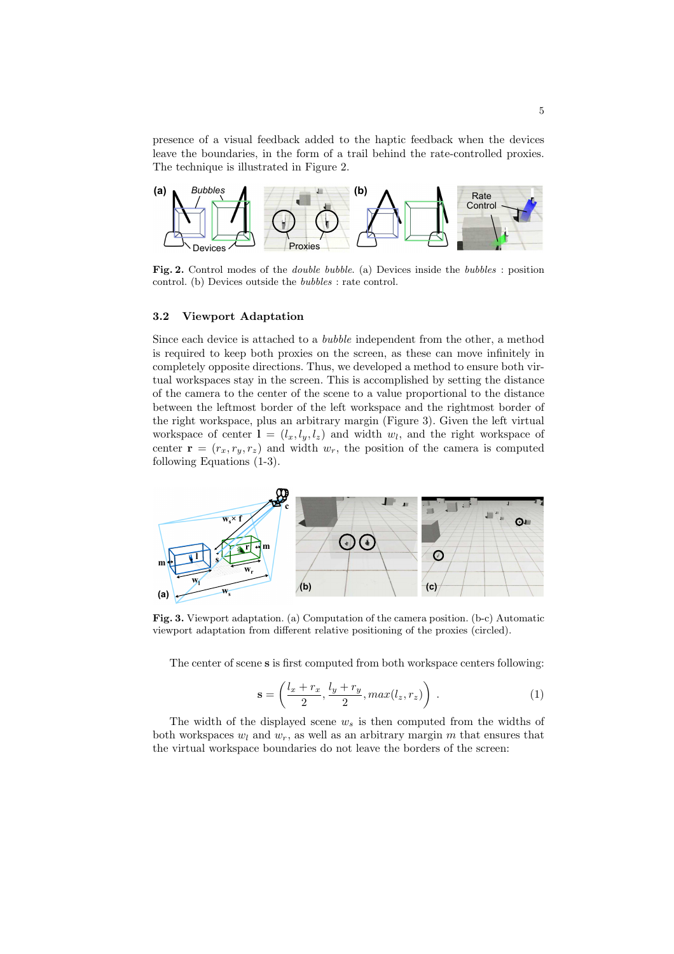presence of a visual feedback added to the haptic feedback when the devices leave the boundaries, in the form of a trail behind the rate-controlled proxies. The technique is illustrated in Figure 2.



Fig. 2. Control modes of the double bubble. (a) Devices inside the bubbles : position control. (b) Devices outside the bubbles : rate control.

#### 3.2 Viewport Adaptation

Since each device is attached to a bubble independent from the other, a method is required to keep both proxies on the screen, as these can move infinitely in completely opposite directions. Thus, we developed a method to ensure both virtual workspaces stay in the screen. This is accomplished by setting the distance of the camera to the center of the scene to a value proportional to the distance between the leftmost border of the left workspace and the rightmost border of the right workspace, plus an arbitrary margin (Figure 3). Given the left virtual workspace of center  $\mathbf{l} = (l_x, l_y, l_z)$  and width  $w_l$ , and the right workspace of center  $\mathbf{r} = (r_x, r_y, r_z)$  and width  $w_r$ , the position of the camera is computed following Equations (1-3).



Fig. 3. Viewport adaptation. (a) Computation of the camera position. (b-c) Automatic viewport adaptation from different relative positioning of the proxies (circled).

The center of scene s is first computed from both workspace centers following:

$$
\mathbf{s} = \left(\frac{l_x + r_x}{2}, \frac{l_y + r_y}{2}, \max(l_z, r_z)\right) . \tag{1}
$$

The width of the displayed scene  $w_s$  is then computed from the widths of both workspaces  $w_l$  and  $w_r$ , as well as an arbitrary margin m that ensures that the virtual workspace boundaries do not leave the borders of the screen: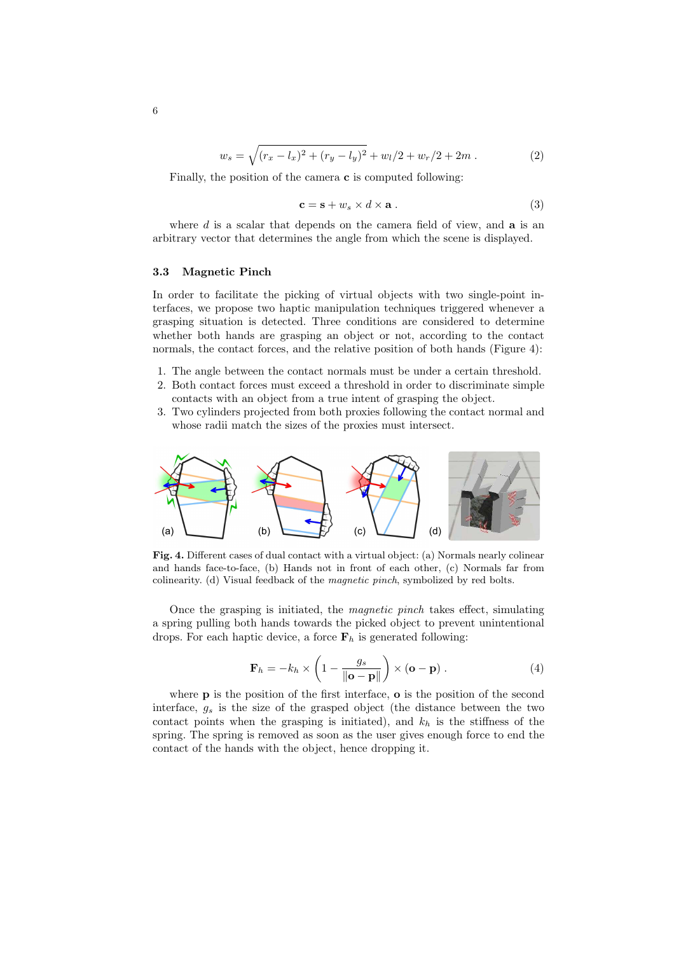$$
w_s = \sqrt{(r_x - l_x)^2 + (r_y - l_y)^2} + w_l/2 + w_r/2 + 2m.
$$
 (2)

Finally, the position of the camera c is computed following:

$$
\mathbf{c} = \mathbf{s} + w_s \times d \times \mathbf{a} \tag{3}
$$

where  $d$  is a scalar that depends on the camera field of view, and **a** is an arbitrary vector that determines the angle from which the scene is displayed.

#### 3.3 Magnetic Pinch

In order to facilitate the picking of virtual objects with two single-point interfaces, we propose two haptic manipulation techniques triggered whenever a grasping situation is detected. Three conditions are considered to determine whether both hands are grasping an object or not, according to the contact normals, the contact forces, and the relative position of both hands (Figure 4):

- 1. The angle between the contact normals must be under a certain threshold.
- 2. Both contact forces must exceed a threshold in order to discriminate simple contacts with an object from a true intent of grasping the object.
- 3. Two cylinders projected from both proxies following the contact normal and whose radii match the sizes of the proxies must intersect.



Fig. 4. Different cases of dual contact with a virtual object: (a) Normals nearly colinear and hands face-to-face, (b) Hands not in front of each other, (c) Normals far from colinearity. (d) Visual feedback of the magnetic pinch, symbolized by red bolts.

Once the grasping is initiated, the magnetic pinch takes effect, simulating a spring pulling both hands towards the picked object to prevent unintentional drops. For each haptic device, a force  $F_h$  is generated following:

$$
\mathbf{F}_h = -k_h \times \left(1 - \frac{g_s}{\|\mathbf{o} - \mathbf{p}\|}\right) \times (\mathbf{o} - \mathbf{p}). \tag{4}
$$

where **p** is the position of the first interface, **o** is the position of the second interface,  $g_s$  is the size of the grasped object (the distance between the two contact points when the grasping is initiated), and  $k<sub>h</sub>$  is the stiffness of the spring. The spring is removed as soon as the user gives enough force to end the contact of the hands with the object, hence dropping it.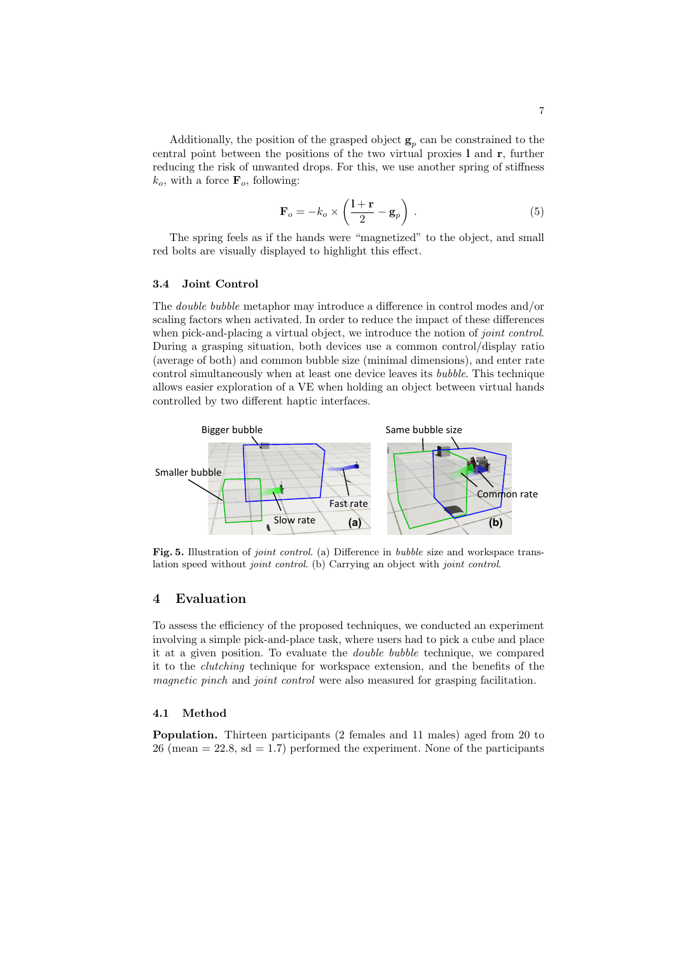Additionally, the position of the grasped object  $g_p$  can be constrained to the central point between the positions of the two virtual proxies l and r, further reducing the risk of unwanted drops. For this, we use another spring of stiffness  $k_o$ , with a force  $\mathbf{F}_o$ , following:

$$
\mathbf{F}_o = -k_o \times \left(\frac{\mathbf{l} + \mathbf{r}}{2} - \mathbf{g}_p\right) . \tag{5}
$$

The spring feels as if the hands were "magnetized" to the object, and small red bolts are visually displayed to highlight this effect.

## 3.4 Joint Control

The double bubble metaphor may introduce a difference in control modes and/or scaling factors when activated. In order to reduce the impact of these differences when pick-and-placing a virtual object, we introduce the notion of *joint control*. During a grasping situation, both devices use a common control/display ratio (average of both) and common bubble size (minimal dimensions), and enter rate control simultaneously when at least one device leaves its bubble. This technique allows easier exploration of a VE when holding an object between virtual hands controlled by two different haptic interfaces.



Fig. 5. Illustration of *joint control.* (a) Difference in *bubble* size and workspace translation speed without joint control. (b) Carrying an object with joint control.

## 4 Evaluation

To assess the efficiency of the proposed techniques, we conducted an experiment involving a simple pick-and-place task, where users had to pick a cube and place it at a given position. To evaluate the double bubble technique, we compared it to the clutching technique for workspace extension, and the benefits of the magnetic pinch and joint control were also measured for grasping facilitation.

#### 4.1 Method

Population. Thirteen participants (2 females and 11 males) aged from 20 to  $26 \text{ (mean } = 22.8, \text{ sd } = 1.7 \text{) performed the experiment. None of the participants}$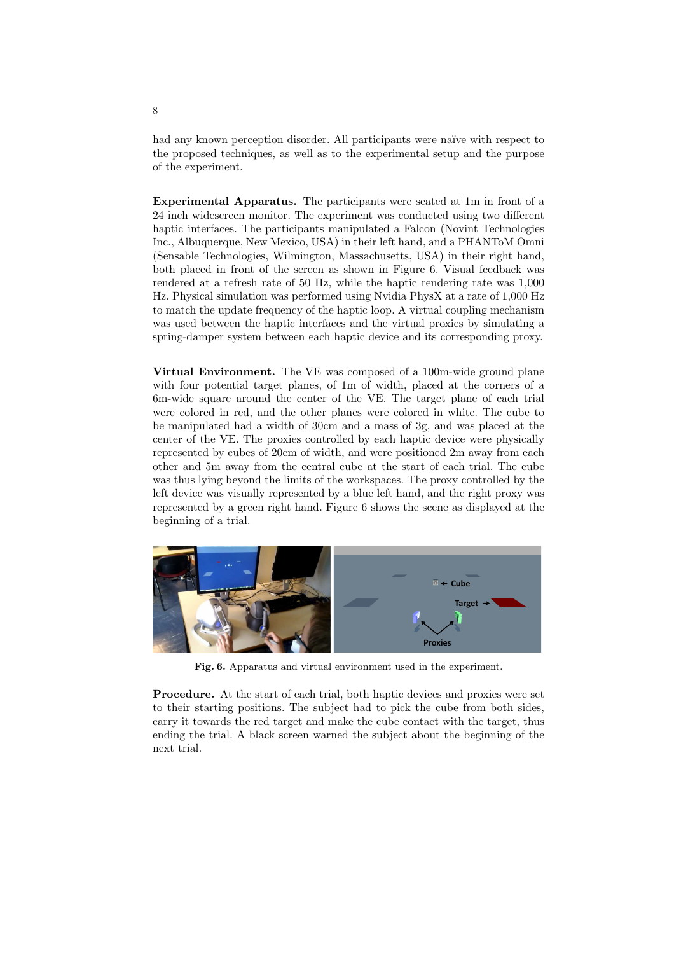had any known perception disorder. All participants were naïve with respect to the proposed techniques, as well as to the experimental setup and the purpose of the experiment.

Experimental Apparatus. The participants were seated at 1m in front of a 24 inch widescreen monitor. The experiment was conducted using two different haptic interfaces. The participants manipulated a Falcon (Novint Technologies Inc., Albuquerque, New Mexico, USA) in their left hand, and a PHANToM Omni (Sensable Technologies, Wilmington, Massachusetts, USA) in their right hand, both placed in front of the screen as shown in Figure 6. Visual feedback was rendered at a refresh rate of 50 Hz, while the haptic rendering rate was 1,000 Hz. Physical simulation was performed using Nvidia PhysX at a rate of 1,000 Hz to match the update frequency of the haptic loop. A virtual coupling mechanism was used between the haptic interfaces and the virtual proxies by simulating a spring-damper system between each haptic device and its corresponding proxy.

Virtual Environment. The VE was composed of a 100m-wide ground plane with four potential target planes, of 1m of width, placed at the corners of a 6m-wide square around the center of the VE. The target plane of each trial were colored in red, and the other planes were colored in white. The cube to be manipulated had a width of 30cm and a mass of 3g, and was placed at the center of the VE. The proxies controlled by each haptic device were physically represented by cubes of 20cm of width, and were positioned 2m away from each other and 5m away from the central cube at the start of each trial. The cube was thus lying beyond the limits of the workspaces. The proxy controlled by the left device was visually represented by a blue left hand, and the right proxy was represented by a green right hand. Figure 6 shows the scene as displayed at the beginning of a trial.



Fig. 6. Apparatus and virtual environment used in the experiment.

Procedure. At the start of each trial, both haptic devices and proxies were set to their starting positions. The subject had to pick the cube from both sides, carry it towards the red target and make the cube contact with the target, thus ending the trial. A black screen warned the subject about the beginning of the next trial.

8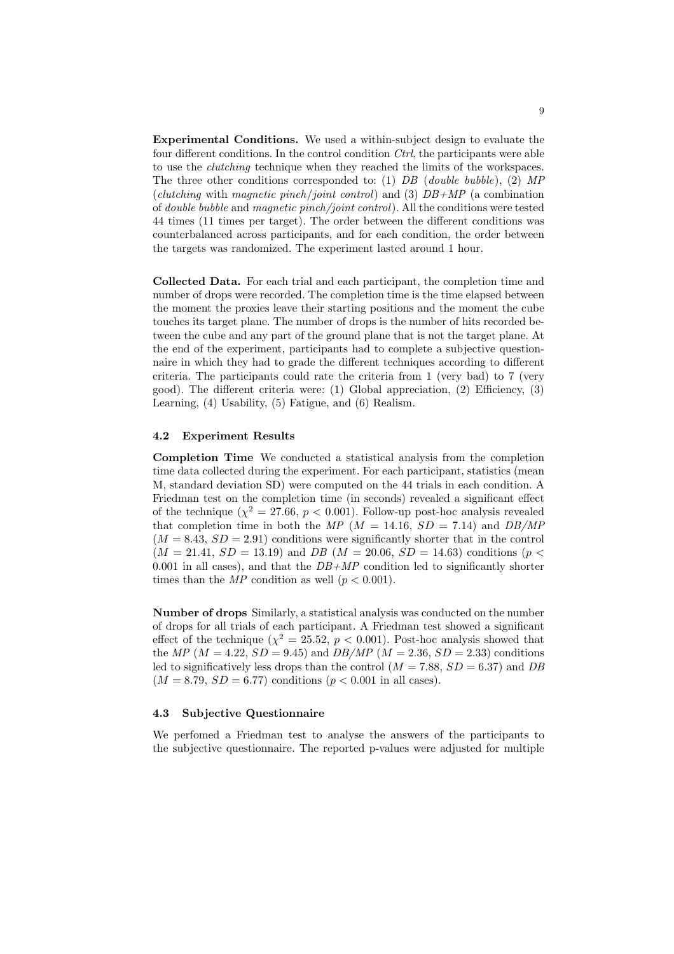Experimental Conditions. We used a within-subject design to evaluate the four different conditions. In the control condition *Ctrl*, the participants were able to use the clutching technique when they reached the limits of the workspaces. The three other conditions corresponded to: (1)  $DB$  (double bubble), (2) MP (*clutching* with *magnetic pinch*/*joint control*) and (3)  $DB+MP$  (a combination of double bubble and magnetic pinch/joint control). All the conditions were tested 44 times (11 times per target). The order between the different conditions was counterbalanced across participants, and for each condition, the order between the targets was randomized. The experiment lasted around 1 hour.

Collected Data. For each trial and each participant, the completion time and number of drops were recorded. The completion time is the time elapsed between the moment the proxies leave their starting positions and the moment the cube touches its target plane. The number of drops is the number of hits recorded between the cube and any part of the ground plane that is not the target plane. At the end of the experiment, participants had to complete a subjective questionnaire in which they had to grade the different techniques according to different criteria. The participants could rate the criteria from 1 (very bad) to 7 (very good). The different criteria were: (1) Global appreciation, (2) Efficiency, (3) Learning, (4) Usability, (5) Fatigue, and (6) Realism.

#### 4.2 Experiment Results

Completion Time We conducted a statistical analysis from the completion time data collected during the experiment. For each participant, statistics (mean M, standard deviation SD) were computed on the 44 trials in each condition. A Friedman test on the completion time (in seconds) revealed a significant effect of the technique  $(\chi^2 = 27.66, p < 0.001)$ . Follow-up post-hoc analysis revealed that completion time in both the  $MP$  ( $M = 14.16$ ,  $SD = 7.14$ ) and  $DB/MP$  $(M = 8.43, SD = 2.91)$  conditions were significantly shorter that in the control  $(M = 21.41, SD = 13.19)$  and DB  $(M = 20.06, SD = 14.63)$  conditions (p < 0.001 in all cases), and that the  $DB+MP$  condition led to significantly shorter times than the  $MP$  condition as well  $(p < 0.001)$ .

Number of drops Similarly, a statistical analysis was conducted on the number of drops for all trials of each participant. A Friedman test showed a significant effect of the technique  $(\chi^2 = 25.52, p < 0.001)$ . Post-hoc analysis showed that the MP ( $M = 4.22$ ,  $SD = 9.45$ ) and  $DB/MP$  ( $M = 2.36$ ,  $SD = 2.33$ ) conditions led to significatively less drops than the control  $(M = 7.88, SD = 6.37)$  and DB  $(M = 8.79, SD = 6.77)$  conditions  $(p < 0.001$  in all cases).

## 4.3 Subjective Questionnaire

We perfomed a Friedman test to analyse the answers of the participants to the subjective questionnaire. The reported p-values were adjusted for multiple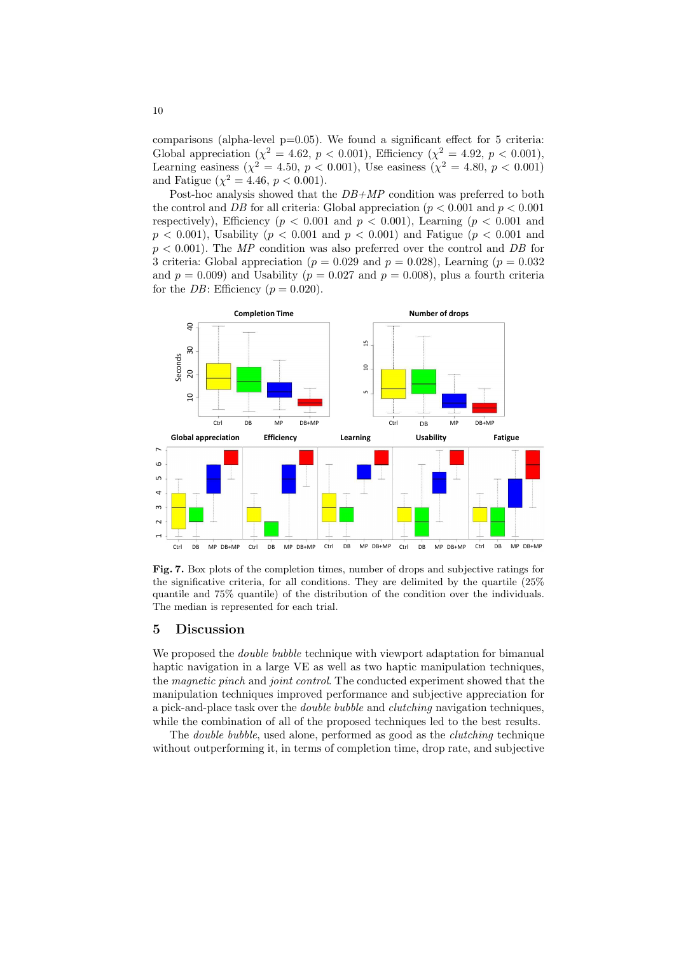comparisons (alpha-level  $p=0.05$ ). We found a significant effect for 5 criteria: Global appreciation ( $\chi^2 = 4.62$ ,  $p < 0.001$ ), Efficiency ( $\chi^2 = 4.92$ ,  $p < 0.001$ ), Learning easiness  $(\chi^2 = 4.50, p < 0.001)$ , Use easiness  $(\chi^2 = 4.80, p < 0.001)$ and Fatigue ( $\chi^2 = 4.46, p < 0.001$ ).

Post-hoc analysis showed that the  $DB+MP$  condition was preferred to both the control and DB for all criteria: Global appreciation ( $p < 0.001$  and  $p < 0.001$ ) respectively), Efficiency ( $p < 0.001$  and  $p < 0.001$ ), Learning ( $p < 0.001$  and  $p < 0.001$ , Usability ( $p < 0.001$  and  $p < 0.001$ ) and Fatigue ( $p < 0.001$  and  $p < 0.001$ ). The MP condition was also preferred over the control and DB for 3 criteria: Global appreciation ( $p = 0.029$  and  $p = 0.028$ ), Learning ( $p = 0.032$ ) and  $p = 0.009$  and Usability ( $p = 0.027$  and  $p = 0.008$ ), plus a fourth criteria for the *DB*: Efficiency  $(p = 0.020)$ .



Fig. 7. Box plots of the completion times, number of drops and subjective ratings for the significative criteria, for all conditions. They are delimited by the quartile (25% quantile and 75% quantile) of the distribution of the condition over the individuals. The median is represented for each trial.

#### 5 Discussion

We proposed the *double bubble* technique with viewport adaptation for bimanual haptic navigation in a large VE as well as two haptic manipulation techniques, the magnetic pinch and joint control. The conducted experiment showed that the manipulation techniques improved performance and subjective appreciation for a pick-and-place task over the double bubble and clutching navigation techniques, while the combination of all of the proposed techniques led to the best results.

The *double bubble*, used alone, performed as good as the *clutching* technique without outperforming it, in terms of completion time, drop rate, and subjective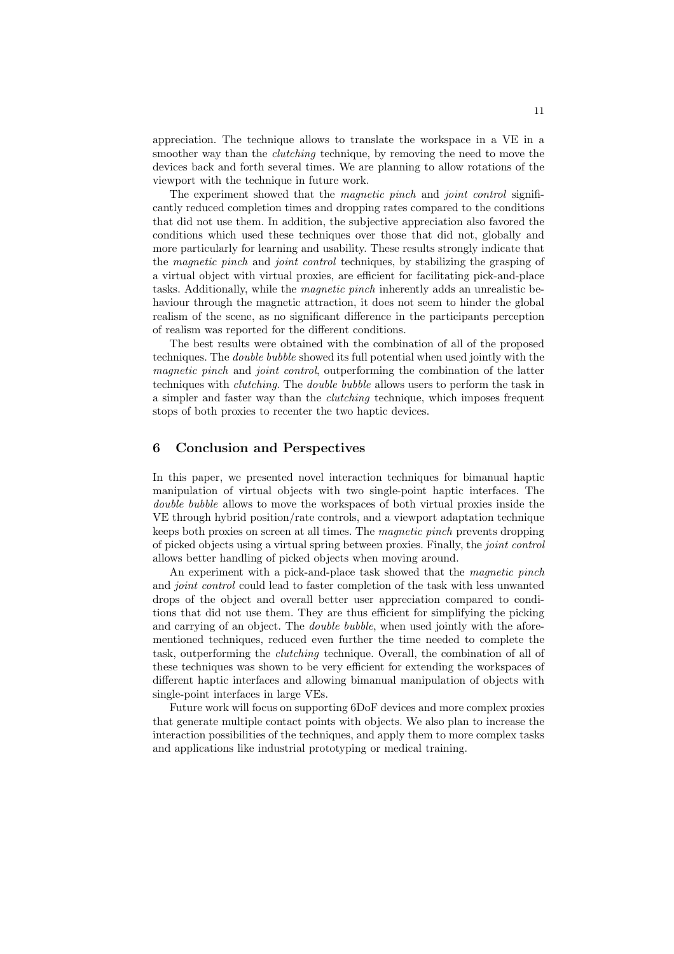appreciation. The technique allows to translate the workspace in a VE in a smoother way than the *clutching* technique, by removing the need to move the devices back and forth several times. We are planning to allow rotations of the viewport with the technique in future work.

The experiment showed that the *magnetic pinch* and *joint control* significantly reduced completion times and dropping rates compared to the conditions that did not use them. In addition, the subjective appreciation also favored the conditions which used these techniques over those that did not, globally and more particularly for learning and usability. These results strongly indicate that the magnetic pinch and joint control techniques, by stabilizing the grasping of a virtual object with virtual proxies, are efficient for facilitating pick-and-place tasks. Additionally, while the magnetic pinch inherently adds an unrealistic behaviour through the magnetic attraction, it does not seem to hinder the global realism of the scene, as no significant difference in the participants perception of realism was reported for the different conditions.

The best results were obtained with the combination of all of the proposed techniques. The double bubble showed its full potential when used jointly with the magnetic pinch and joint control, outperforming the combination of the latter techniques with clutching. The double bubble allows users to perform the task in a simpler and faster way than the clutching technique, which imposes frequent stops of both proxies to recenter the two haptic devices.

## 6 Conclusion and Perspectives

In this paper, we presented novel interaction techniques for bimanual haptic manipulation of virtual objects with two single-point haptic interfaces. The double bubble allows to move the workspaces of both virtual proxies inside the VE through hybrid position/rate controls, and a viewport adaptation technique keeps both proxies on screen at all times. The magnetic pinch prevents dropping of picked objects using a virtual spring between proxies. Finally, the joint control allows better handling of picked objects when moving around.

An experiment with a pick-and-place task showed that the *magnetic pinch* and joint control could lead to faster completion of the task with less unwanted drops of the object and overall better user appreciation compared to conditions that did not use them. They are thus efficient for simplifying the picking and carrying of an object. The *double bubble*, when used jointly with the aforementioned techniques, reduced even further the time needed to complete the task, outperforming the clutching technique. Overall, the combination of all of these techniques was shown to be very efficient for extending the workspaces of different haptic interfaces and allowing bimanual manipulation of objects with single-point interfaces in large VEs.

Future work will focus on supporting 6DoF devices and more complex proxies that generate multiple contact points with objects. We also plan to increase the interaction possibilities of the techniques, and apply them to more complex tasks and applications like industrial prototyping or medical training.